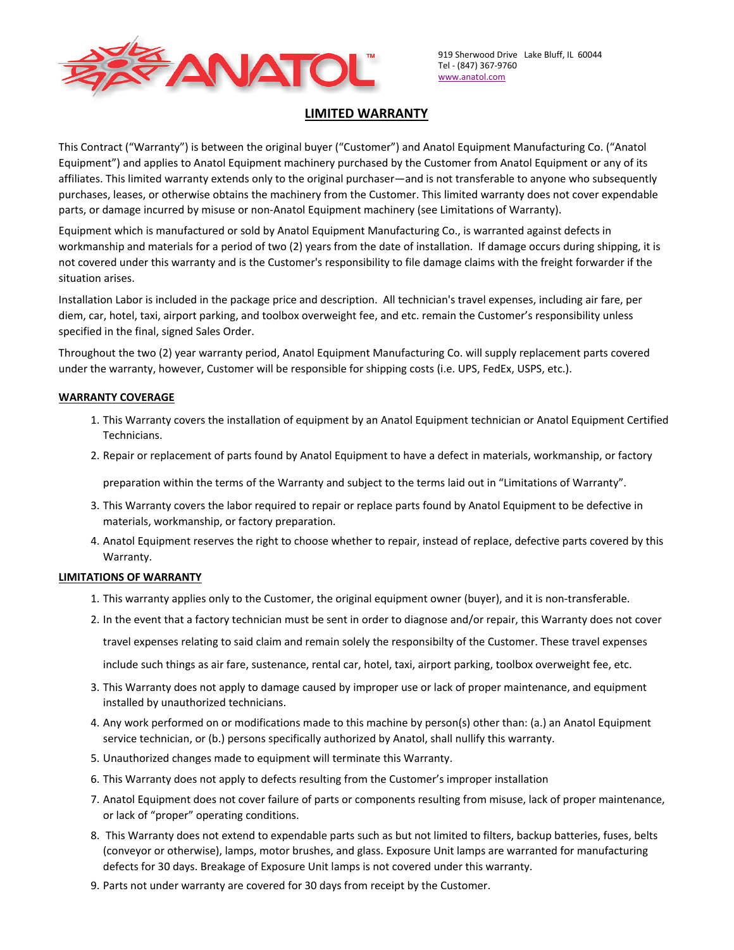

919 Sherwood Drive Lake Bluff, IL 60044 Tel - (847) 367-9760 www.anatol.com

# **LIMITED WARRANTY**

This Contract ("Warranty") is between the original buyer ("Customer") and Anatol Equipment Manufacturing Co. ("Anatol Equipment") and applies to Anatol Equipment machinery purchased by the Customer from Anatol Equipment or any of its affiliates. This limited warranty extends only to the original purchaser—and is not transferable to anyone who subsequently purchases, leases, or otherwise obtains the machinery from the Customer. This limited warranty does not cover expendable parts, or damage incurred by misuse or non-Anatol Equipment machinery (see Limitations of Warranty).

Equipment which is manufactured or sold by Anatol Equipment Manufacturing Co., is warranted against defects in workmanship and materials for a period of two (2) years from the date of installation. If damage occurs during shipping, it is not covered under this warranty and is the Customer's responsibility to file damage claims with the freight forwarder if the situation arises.

Installation Labor is included in the package price and description. All technician's travel expenses, including air fare, per diem, car, hotel, taxi, airport parking, and toolbox overweight fee, and etc. remain the Customer's responsibility unless specified in the final, signed Sales Order.

Throughout the two (2) year warranty period, Anatol Equipment Manufacturing Co. will supply replacement parts covered under the warranty, however, Customer will be responsible for shipping costs (i.e. UPS, FedEx, USPS, etc.).

### **WARRANTY COVERAGE**

- 1. This Warranty covers the installation of equipment by an Anatol Equipment technician or Anatol Equipment Certified Technicians.
- 2. Repair or replacement of parts found by Anatol Equipment to have a defect in materials, workmanship, or factory

preparation within the terms of the Warranty and subject to the terms laid out in "Limitations of Warranty".

- 3. This Warranty covers the labor required to repair or replace parts found by Anatol Equipment to be defective in materials, workmanship, or factory preparation.
- 4. Anatol Equipment reserves the right to choose whether to repair, instead of replace, defective parts covered by this Warranty.

#### **LIMITATIONS OF WARRANTY**

1. This warranty applies only to the Customer, the original equipment owner (buyer), and it is non-transferable.

2. In the event that a factory technician must be sent in order to diagnose and/or repair, this Warranty does not cover

travel expenses relating to said claim and remain solely the responsibilty of the Customer. These travel expenses

include such things as air fare, sustenance, rental car, hotel, taxi, airport parking, toolbox overweight fee, etc.

- 3. This Warranty does not apply to damage caused by improper use or lack of proper maintenance, and equipment installed by unauthorized technicians.
- 4. Any work performed on or modifications made to this machine by person(s) other than: (a.) an Anatol Equipment service technician, or (b.) persons specifically authorized by Anatol, shall nullify this warranty.
- 5. Unauthorized changes made to equipment will terminate this Warranty.
- 6. This Warranty does not apply to defects resulting from the Customer's improper installation
- 7. Anatol Equipment does not cover failure of parts or components resulting from misuse, lack of proper maintenance, or lack of "proper" operating conditions.
- 8. This Warranty does not extend to expendable parts such as but not limited to filters, backup batteries, fuses, belts (conveyor or otherwise), lamps, motor brushes, and glass. Exposure Unit lamps are warranted for manufacturing defects for 30 days. Breakage of Exposure Unit lamps is not covered under this warranty.
- 9. Parts not under warranty are covered for 30 days from receipt by the Customer.